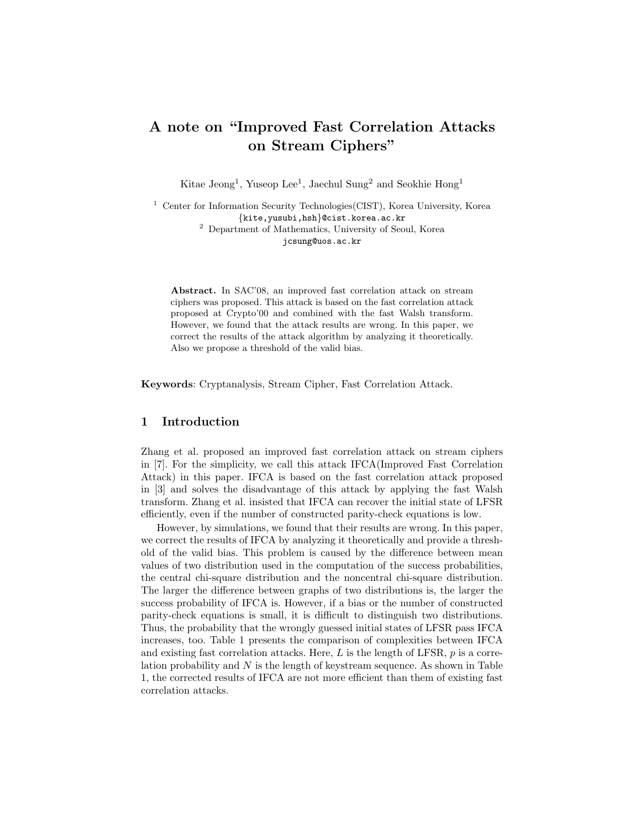# A note on "Improved Fast Correlation Attacks on Stream Ciphers"

Kitae Jeong<sup>1</sup>, Yuseop Lee<sup>1</sup>, Jaechul Sung<sup>2</sup> and Seokhie Hong<sup>1</sup>

<sup>1</sup> Center for Information Security Technologies(CIST), Korea University, Korea {kite,yusubi,hsh}@cist.korea.ac.kr <sup>2</sup> Department of Mathematics, University of Seoul, Korea jcsung@uos.ac.kr

Abstract. In SAC'08, an improved fast correlation attack on stream ciphers was proposed. This attack is based on the fast correlation attack proposed at Crypto'00 and combined with the fast Walsh transform. However, we found that the attack results are wrong. In this paper, we correct the results of the attack algorithm by analyzing it theoretically. Also we propose a threshold of the valid bias.

Keywords: Cryptanalysis, Stream Cipher, Fast Correlation Attack.

# 1 Introduction

Zhang et al. proposed an improved fast correlation attack on stream ciphers in [7]. For the simplicity, we call this attack IFCA(Improved Fast Correlation Attack) in this paper. IFCA is based on the fast correlation attack proposed in [3] and solves the disadvantage of this attack by applying the fast Walsh transform. Zhang et al. insisted that IFCA can recover the initial state of LFSR efficiently, even if the number of constructed parity-check equations is low.

However, by simulations, we found that their results are wrong. In this paper, we correct the results of IFCA by analyzing it theoretically and provide a threshold of the valid bias. This problem is caused by the difference between mean values of two distribution used in the computation of the success probabilities, the central chi-square distribution and the noncentral chi-square distribution. The larger the difference between graphs of two distributions is, the larger the success probability of IFCA is. However, if a bias or the number of constructed parity-check equations is small, it is difficult to distinguish two distributions. Thus, the probability that the wrongly guessed initial states of LFSR pass IFCA increases, too. Table 1 presents the comparison of complexities between IFCA and existing fast correlation attacks. Here,  $L$  is the length of LFSR,  $p$  is a correlation probability and N is the length of keystream sequence. As shown in Table 1, the corrected results of IFCA are not more efficient than them of existing fast correlation attacks.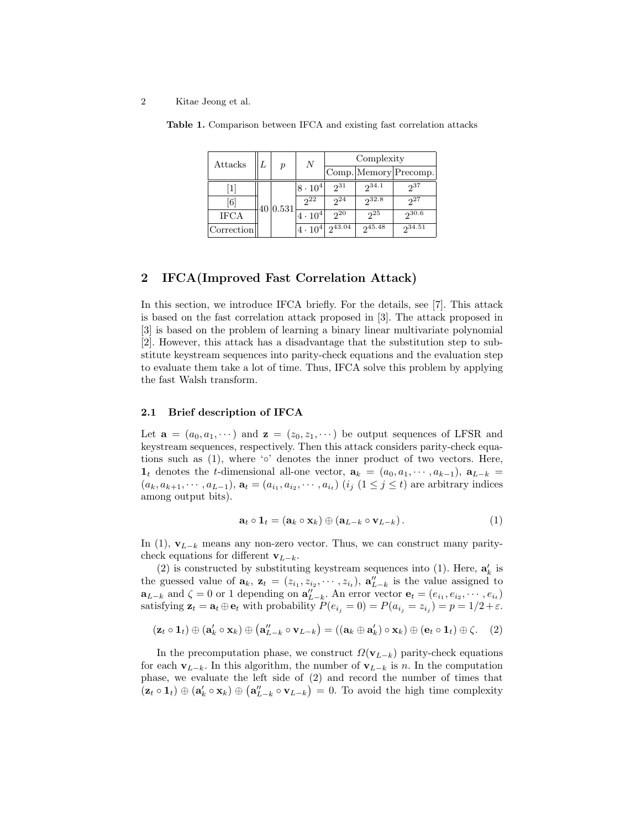#### 2 Kitae Jeong et al.

| Attacks      | $\boldsymbol{p}$ | N                | Complexity      |                |                       |  |
|--------------|------------------|------------------|-----------------|----------------|-----------------------|--|
|              |                  |                  |                 |                | Comp. Memory Precomp. |  |
| $\mathbf{1}$ | 40 0.531         | $ 8 \cdot 10^4 $ | $2^{31}$        | $2^{34.1}$     | 237                   |  |
| [6]          |                  | $2^{22}$         | 2 <sup>24</sup> | $2^{32.8}$     | 27                    |  |
| <b>IFCA</b>  |                  | $4 \cdot 10^{4}$ | 2 <sup>0</sup>  | 2 <sub>5</sub> | $2^{30.6}$            |  |
| Correction   |                  | $ 4 \cdot 10^4 $ | $2^{43.04}$     | $2^{45.48}$    | $2^{34.51}$           |  |

Table 1. Comparison between IFCA and existing fast correlation attacks

# 2 IFCA(Improved Fast Correlation Attack)

In this section, we introduce IFCA briefly. For the details, see [7]. This attack is based on the fast correlation attack proposed in [3]. The attack proposed in [3] is based on the problem of learning a binary linear multivariate polynomial [2]. However, this attack has a disadvantage that the substitution step to substitute keystream sequences into parity-check equations and the evaluation step to evaluate them take a lot of time. Thus, IFCA solve this problem by applying the fast Walsh transform.

## 2.1 Brief description of IFCA

Let  $\mathbf{a} = (a_0, a_1, \dots)$  and  $\mathbf{z} = (z_0, z_1, \dots)$  be output sequences of LFSR and keystream sequences, respectively. Then this attack considers parity-check equations such as  $(1)$ , where '∘' denotes the inner product of two vectors. Here,  $\mathbf{1}_t$  denotes the t-dimensional all-one vector,  $\mathbf{a}_k = (a_0, a_1, \dots, a_{k-1}), \mathbf{a}_{L-k} =$  $(a_k, a_{k+1}, \dots, a_{L-1}), \mathbf{a}_t = (a_{i_1}, a_{i_2}, \dots, a_{i_t})$   $(i_j \ (1 \leq j \leq t)$  are arbitrary indices among output bits).

$$
\mathbf{a}_t \circ \mathbf{1}_t = (\mathbf{a}_k \circ \mathbf{x}_k) \oplus (\mathbf{a}_{L-k} \circ \mathbf{v}_{L-k}). \tag{1}
$$

In (1),  $\mathbf{v}_{L-k}$  means any non-zero vector. Thus, we can construct many paritycheck equations for different  $\mathbf{v}_{L-k}$ .

(2) is constructed by substituting keystream sequences into (1). Here,  $\mathbf{a}'_k$  is the guessed value of  $\mathbf{a}_k$ ,  $\mathbf{z}_t = (z_{i_1}, z_{i_2}, \cdots, z_{i_t}), \mathbf{a}_{L-k}''$  is the value assigned to  $\mathbf{a}_{L-k}$  and  $\zeta = 0$  or 1 depending on  $\mathbf{a}_{L-k}''$ . An error vector  $\mathbf{e}_t = (e_{i_1}, e_{i_2}, \cdots, e_{i_t})$ satisfying  $\mathbf{z}_t = \mathbf{a}_t \oplus \mathbf{e}_t$  with probability  $P(e_{i_j} = 0) = P(a_{i_j} = z_{i_j}) = p = 1/2 + \varepsilon$ .

$$
(\mathbf{z}_t \circ \mathbf{1}_t) \oplus (\mathbf{a}'_k \circ \mathbf{x}_k) \oplus (\mathbf{a}''_{L-k} \circ \mathbf{v}_{L-k}) = ((\mathbf{a}_k \oplus \mathbf{a}'_k) \circ \mathbf{x}_k) \oplus (\mathbf{e}_t \circ \mathbf{1}_t) \oplus \zeta. \quad (2)
$$

In the precomputation phase, we construct  $\Omega(\mathbf{v}_{L-k})$  parity-check equations for each  $\mathbf{v}_{L-k}$ . In this algorithm, the number of  $\mathbf{v}_{L-k}$  is n. In the computation phase, we evaluate the left side of (2) and record the number of times that  $(\mathbf{z}_t \circ \mathbf{1}_t) \oplus (\mathbf{a}'_k \circ \mathbf{x}_k) \oplus (\mathbf{a}''_{L-k} \circ \mathbf{v}_{L-k}) = 0$ . To avoid the high time complexity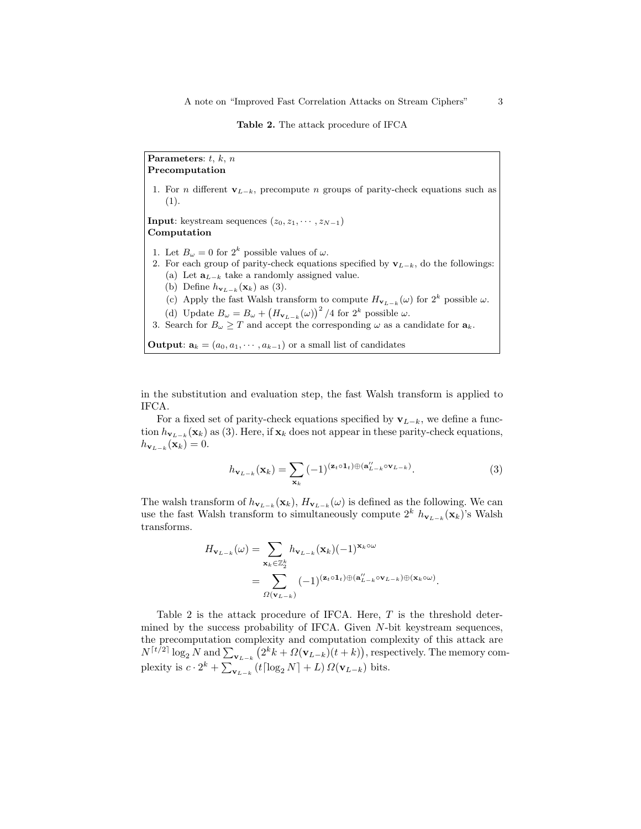#### Table 2. The attack procedure of IFCA

Parameters:  $t, k, n$ Precomputation 1. For *n* different  $\mathbf{v}_{L-k}$ , precompute *n* groups of parity-check equations such as (1). **Input**: keystream sequences  $(z_0, z_1, \dots, z_{N-1})$ Computation 1. Let  $B_{\omega} = 0$  for  $2^k$  possible values of  $\omega$ . 2. For each group of parity-check equations specified by  $\mathbf{v}_{L-k}$ , do the followings: (a) Let  $\mathbf{a}_{L-k}$  take a randomly assigned value. (b) Define  $h_{\mathbf{v}_{L-k}}(\mathbf{x}_k)$  as (3). (c) Apply the fast Walsh transform to compute  $H_{\mathbf{v}_{L-k}}(\omega)$  for  $2^k$  possible  $\omega$ . (d) Update  $B_{\omega} = B_{\omega} + (H_{\mathbf{v}_{L-k}}(\omega))^2 / 4$  for  $2^k$  possible  $\omega$ . 3. Search for  $B_{\omega} \geq T$  and accept the corresponding  $\omega$  as a candidate for  $\mathbf{a}_k$ . **Output:**  $a_k = (a_0, a_1, \dots, a_{k-1})$  or a small list of candidates

in the substitution and evaluation step, the fast Walsh transform is applied to IFCA.

For a fixed set of parity-check equations specified by  $v_{L-k}$ , we define a function  $h_{\mathbf{v}_{L-k}}(\mathbf{x}_k)$  as (3). Here, if  $\mathbf{x}_k$  does not appear in these parity-check equations,  $h_{\mathbf{v}_{L-k}}(\mathbf{x}_k)=0.$ 

$$
h_{\mathbf{v}_{L-k}}(\mathbf{x}_k) = \sum_{\mathbf{x}_k} (-1)^{(\mathbf{z}_t \circ \mathbf{1}_t) \oplus (\mathbf{a}_{L-k}^{"} \circ \mathbf{v}_{L-k})}.
$$
 (3)

The walsh transform of  $h_{\mathbf{v}_{L-k}}(\mathbf{x}_k)$ ,  $H_{\mathbf{v}_{L-k}}(\omega)$  is defined as the following. We can use the fast Walsh transform to simultaneously compute  $2^k h_{\mathbf{v}_{L-k}}(\mathbf{x}_k)$ 's Walsh transforms.

$$
H_{\mathbf{v}_{L-k}}(\omega) = \sum_{\mathbf{x}_k \in \mathbb{Z}_2^k} h_{\mathbf{v}_{L-k}}(\mathbf{x}_k) (-1)^{\mathbf{x}_k \circ \omega}
$$
  
= 
$$
\sum_{\Omega(\mathbf{v}_{L-k})} (-1)^{(\mathbf{z}_t \circ \mathbf{1}_t) \oplus (\mathbf{a}_{L-k}^{"} \circ \mathbf{v}_{L-k}) \oplus (\mathbf{x}_k \circ \omega)}.
$$

Table 2 is the attack procedure of IFCA. Here,  $T$  is the threshold determined by the success probability of IFCA. Given N-bit keystream sequences, the precomputation complexity and computation complexity of this attack are  $N^{\lceil t/2 \rceil} \log_2 N$  and  $\sum_{\mathbf{v}_{L-k}} (2^k k + \Omega(\mathbf{v}_{L-k})(t+k)),$  respectively. The memory complexity is  $c \cdot 2^k + \sum_{\mathbf{v}_{L-k}} (t \lceil \log_2 N \rceil + L) \Omega(\mathbf{v}_{L-k})$  bits.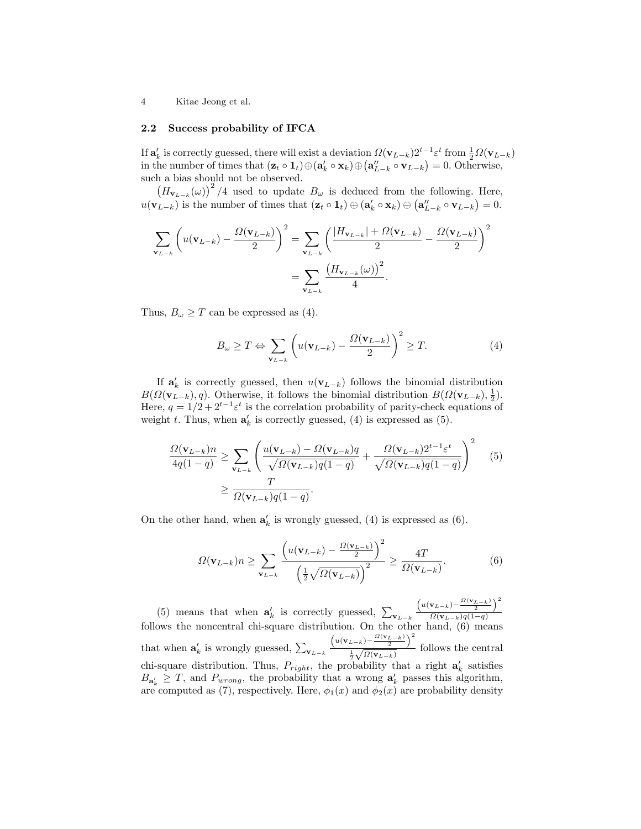4 Kitae Jeong et al.

### 2.2 Success probability of IFCA

If  $\mathbf{a}'_k$  is correctly guessed, there will exist a deviation  $\Omega(\mathbf{v}_{L-k})2^{t-1}\varepsilon^t$  from  $\frac{1}{2}\Omega(\mathbf{v}_{L-k})$ in the number of times that  $(\mathbf{z}_t \circ \mathbf{1}_t) \oplus (\mathbf{a}'_k \circ \mathbf{x}_k) \oplus (\mathbf{a}''_{L-k} \circ \mathbf{v}_{L-k}) = 0$ . Otherwise, such a bias should not be observed.

 $\left(H_{\mathbf{v}_{L-k}}(\omega)\right)^2/4$  used to update  $B_{\omega}$  is deduced from the following. Here,  $u(\mathbf{v}_{L-k})$  is the number of times that  $(\mathbf{z}_t \circ \mathbf{1}_t) \oplus (\mathbf{a}'_k \circ \mathbf{x}_k) \oplus (\mathbf{a}''_{L-k} \circ \mathbf{v}_{L-k}) = 0.$ 

$$
\sum_{\mathbf{v}_{L-k}} \left( u(\mathbf{v}_{L-k}) - \frac{\Omega(\mathbf{v}_{L-k})}{2} \right)^2 = \sum_{\mathbf{v}_{L-k}} \left( \frac{|H_{\mathbf{v}_{L-k}}| + \Omega(\mathbf{v}_{L-k})}{2} - \frac{\Omega(\mathbf{v}_{L-k})}{2} \right)^2
$$

$$
= \sum_{\mathbf{v}_{L-k}} \frac{\left(H_{\mathbf{v}_{L-k}}(\omega)\right)^2}{4}.
$$

Thus,  $B_{\omega} \geq T$  can be expressed as (4).

$$
B_{\omega} \ge T \Leftrightarrow \sum_{\mathbf{v}_{L-k}} \left( u(\mathbf{v}_{L-k}) - \frac{\Omega(\mathbf{v}_{L-k})}{2} \right)^2 \ge T. \tag{4}
$$

If  $\mathbf{a}'_k$  is correctly guessed, then  $u(\mathbf{v}_{L-k})$  follows the binomial distribution  $B(\Omega(\mathbf{v}_{L-k}), q)$ . Otherwise, it follows the binomial distribution  $B(\Omega(\mathbf{v}_{L-k}), \frac{1}{2})$ . Here,  $q = 1/2 + 2^{t-1} \varepsilon^t$  is the correlation probability of parity-check equations of weight t. Thus, when  $\mathbf{a}'_k$  is correctly guessed, (4) is expressed as (5).

$$
\frac{\Omega(\mathbf{v}_{L-k})n}{4q(1-q)} \ge \sum_{\mathbf{v}_{L-k}} \left( \frac{u(\mathbf{v}_{L-k}) - \Omega(\mathbf{v}_{L-k})q}{\sqrt{\Omega(\mathbf{v}_{L-k})q(1-q)}} + \frac{\Omega(\mathbf{v}_{L-k})2^{t-1}\varepsilon^t}{\sqrt{\Omega(\mathbf{v}_{L-k})q(1-q)}} \right)^2 \tag{5}
$$
\n
$$
\ge \frac{T}{\Omega(\mathbf{v}_{L-k})q(1-q)}.
$$

On the other hand, when  $a'_k$  is wrongly guessed, (4) is expressed as (6).

$$
\Omega(\mathbf{v}_{L-k})n \ge \sum_{\mathbf{v}_{L-k}} \frac{\left(u(\mathbf{v}_{L-k}) - \frac{\Omega(\mathbf{v}_{L-k})}{2}\right)^2}{\left(\frac{1}{2}\sqrt{\Omega(\mathbf{v}_{L-k})}\right)^2} \ge \frac{4T}{\Omega(\mathbf{v}_{L-k})}.
$$
(6)

(5) means that when  $\mathbf{a}'_k$  is correctly guessed,  $\sum_{\mathbf{v}_{L-k}}$  $\left(u(\mathbf{v}_{L-k})-\frac{\Omega(\mathbf{v}_{L-k})}{2}\right)^2$  $\Omega(\mathbf{v}_{L-k})q(1-q)$ follows the noncentral chi-square distribution. On the other hand, (6) means that when  $\mathbf{a}'_k$  is wrongly guessed,  $\sum_{\mathbf{v}_{L-k}}$  $\left(u(\mathbf{v}_{L-k})-\frac{\Omega(\mathbf{v}_{L-k})}{2}\right)^2$  $\frac{1}{2}$  $\frac{(-k) - 2}{\sqrt{\Omega(\mathbf{v}_{L-k})}}$  follows the central chi-square distribution. Thus,  $P_{right}$ , the probability that a right  $a'_{k}$  satisfies  $B_{\mathbf{a}'_k} \geq T$ , and  $P_{wrong}$ , the probability that a wrong  $\mathbf{a}'_k$  passes this algorithm, are computed as (7), respectively. Here,  $\phi_1(x)$  and  $\phi_2(x)$  are probability density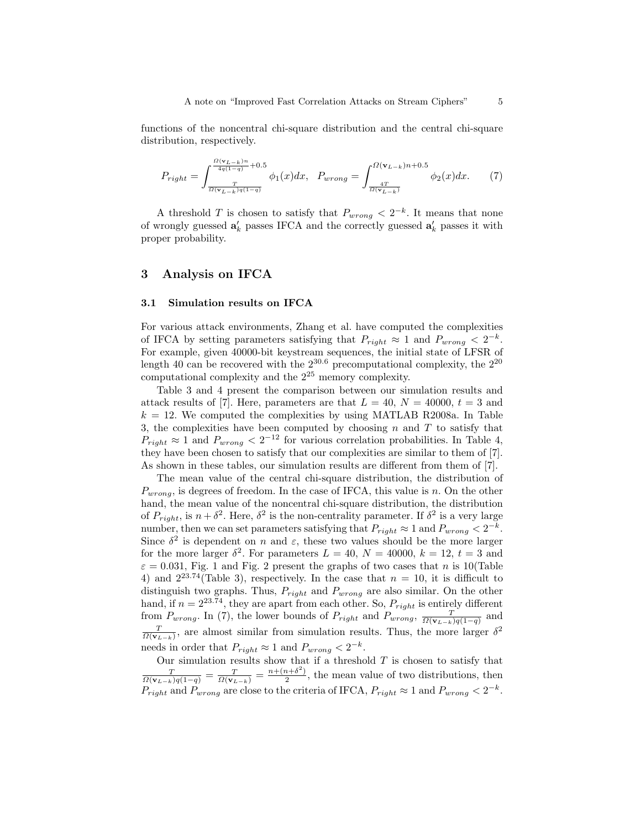functions of the noncentral chi-square distribution and the central chi-square distribution, respectively.

$$
P_{right} = \int_{\frac{T}{\Omega(\mathbf{v}_{L-k})q(1-q)}}^{\frac{\Omega(\mathbf{v}_{L-k})n}{4q(1-q)}+0.5} \phi_1(x)dx, \quad P_{wrong} = \int_{\frac{4T}{\Omega(\mathbf{v}_{L-k})}}^{\Omega(\mathbf{v}_{L-k})n+0.5} \phi_2(x)dx.
$$
 (7)

A threshold T is chosen to satisfy that  $P_{wrong} < 2^{-k}$ . It means that none of wrongly guessed  $\mathbf{a}'_k$  passes IFCA and the correctly guessed  $\mathbf{a}'_k$  passes it with proper probability.

## 3 Analysis on IFCA

#### 3.1 Simulation results on IFCA

For various attack environments, Zhang et al. have computed the complexities of IFCA by setting parameters satisfying that  $P_{right} \approx 1$  and  $P_{wrong} < 2^{-k}$ . For example, given 40000-bit keystream sequences, the initial state of LFSR of length 40 can be recovered with the  $2^{30.6}$  precomputational complexity, the  $2^{20}$ computational complexity and the 2<sup>25</sup> memory complexity.

Table 3 and 4 present the comparison between our simulation results and attack results of [7]. Here, parameters are that  $L = 40$ ,  $N = 40000$ ,  $t = 3$  and  $k = 12$ . We computed the complexities by using MATLAB R2008a. In Table 3, the complexities have been computed by choosing n and  $T$  to satisfy that  $P_{right} \approx 1$  and  $P_{wrong} < 2^{-12}$  for various correlation probabilities. In Table 4, they have been chosen to satisfy that our complexities are similar to them of [7]. As shown in these tables, our simulation results are different from them of [7].

The mean value of the central chi-square distribution, the distribution of  $P_{wrong}$ , is degrees of freedom. In the case of IFCA, this value is n. On the other hand, the mean value of the noncentral chi-square distribution, the distribution of  $P_{right}$ , is  $n + \delta^2$ . Here,  $\delta^2$  is the non-centrality parameter. If  $\delta^2$  is a very large number, then we can set parameters satisfying that  $P_{right} \approx 1$  and  $P_{wrong} < 2^{-k}$ . Since  $\delta^2$  is dependent on n and  $\varepsilon$ , these two values should be the more larger for the more larger  $\delta^2$ . For parameters  $L = 40, N = 40000, k = 12, t = 3$  and  $\varepsilon = 0.031$ , Fig. 1 and Fig. 2 present the graphs of two cases that n is 10(Table 4) and  $2^{23.74}$ (Table 3), respectively. In the case that  $n = 10$ , it is difficult to distinguish two graphs. Thus,  $P_{right}$  and  $P_{wrong}$  are also similar. On the other hand, if  $n = 2^{23.74}$ , they are apart from each other. So,  $P_{right}$  is entirely different from  $P_{wrong}$ . In (7), the lower bounds of  $P_{right}$  and  $P_{wrong}$ ,  $\frac{T}{\Omega(\mathbf{v}_{L-k})q(1-q)}$  and  $\frac{T}{\Omega(\mathbf{v}_{L-k})}$ , are almost similar from simulation results. Thus, the more larger  $\delta^2$ needs in order that  $P_{right} \approx 1$  and  $P_{wrong} < 2^{-k}$ .

Our simulation results show that if a threshold  $T$  is chosen to satisfy that  $\frac{T}{\Omega(\mathbf{v}_{L-k})q(1-q)} = \frac{T}{\Omega(\mathbf{v}_{L-k})} = \frac{n+(n+\delta^2)}{2}$  $\frac{1}{2}$ , the mean value of two distributions, then  $P_{right}$  and  $P_{wrong}$  are close to the criteria of IFCA,  $P_{right} \approx 1$  and  $P_{wrong} < 2^{-k}$ .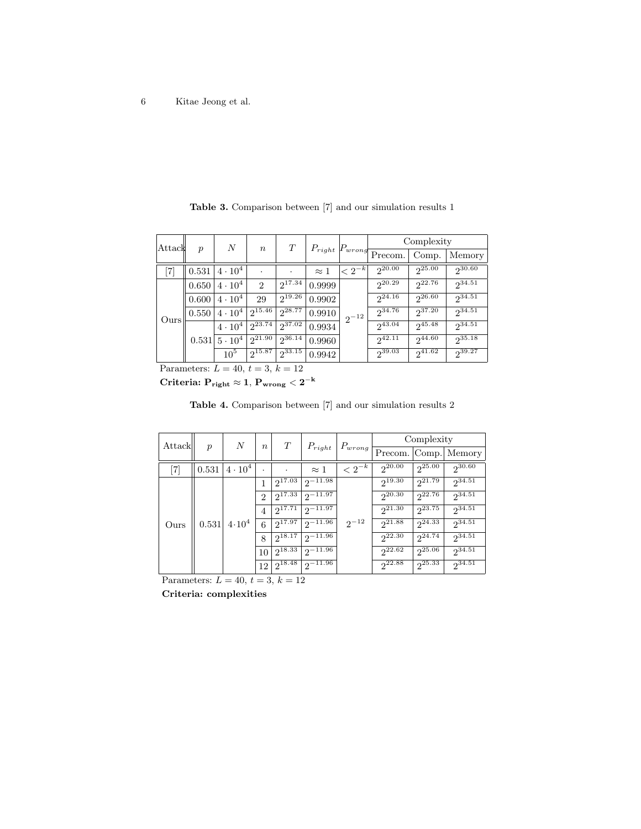| Attack | $\boldsymbol{p}$ | N                | $\boldsymbol{n}$ | T           | $P_{right}$ | $P_{wrong}$   | Complexity        |             |             |
|--------|------------------|------------------|------------------|-------------|-------------|---------------|-------------------|-------------|-------------|
|        |                  |                  |                  |             |             |               | Precom.           | Comp.       | Memory      |
| [7]    | 0.531            | $4\cdot10^4$     |                  | ٠           | $\approx 1$ | $\leq 2^{-k}$ | 20.00             | 25.00       | 230.60      |
| Ours   | 0.650            | $4 \cdot 10^{4}$ | $\overline{2}$   | $2^{17.34}$ | 0.9999      | $2^{-12}$     | $2^{20.29}$       | 22.76       | $2^{34.51}$ |
|        | 0.600            | $4 \cdot 10^{4}$ | 29               | $2^{19.26}$ | 0.9902      |               | $2^{24.16}$       | 26.60       | $2^{34.51}$ |
|        | 0.550            | $4\cdot10^4$     | $2^{15.46}$      | 28.77       | 0.9910      |               | $2^{34.76}$       | $2^{37.20}$ | $2^{34.51}$ |
|        | 0.531            | $4\cdot10^4$     | $2^{23.74}$      | $2^{37.02}$ | 0.9934      |               | $2^{43.04}$       | $2^{45.48}$ | $2^{34.51}$ |
|        |                  | $15 \cdot 10^4$  | $2^{21.90}$      | $2^{36.14}$ | 0.9960      |               | $2^{42.1\bar{1}}$ | $2^{44.60}$ | $2^{35.18}$ |
|        |                  | $10^{5}$         | $2^{15.87}$      | 233.15      | 0.9942      |               | $2^{39.03}$       | $2^{41.62}$ | $2^{39.27}$ |

Table 3. Comparison between [7] and our simulation results 1

Parameters:  $L = 40, t = 3, k = 12$ 

 $\text{Criteria: } \mathrm{P_{right}} \approx 1, \, \mathrm{P_{wrong}} < 2^{-\mathrm{k}}$ 

Table 4. Comparison between [7] and our simulation results 2

| Attack                       | $\boldsymbol{p}$ | $\boldsymbol{N}$                                                             | $\boldsymbol{n}$     | T           | $P_{right}$  | $P_{wrong}$   | Complexity  |                        |             |
|------------------------------|------------------|------------------------------------------------------------------------------|----------------------|-------------|--------------|---------------|-------------|------------------------|-------------|
|                              |                  |                                                                              |                      |             |              |               | Precom.     | Comp.                  | Memory      |
| $\left\lceil 7 \right\rceil$ | 0.531            | $4 \cdot 10^{4}$                                                             | $\ddot{\phantom{0}}$ | ٠           | $\approx 1$  | $\leq 2^{-k}$ | 20.00       | 25.00                  | $2^{30.60}$ |
|                              |                  | 1<br>$\overline{2}$<br>$\overline{4}$<br>0.531   4.10 <sup>4</sup><br>6<br>8 |                      | $2^{17.03}$ | $2^{-11.98}$ | $2^{-12}$     | $2^{19.30}$ | $2^{21.79}$            | $2^{34.51}$ |
|                              |                  |                                                                              |                      | $2^{17.33}$ | $2^{-11.97}$ |               | $2^{20.30}$ | 22.76                  | $2^{34.51}$ |
|                              |                  |                                                                              |                      | $2^{17.71}$ | $2^{-11.97}$ |               | $2^{21.30}$ | $2^{23.75}$            | $2^{34.51}$ |
| Ours                         |                  |                                                                              |                      | $2^{17.97}$ | $2^{-11.96}$ |               | $2^{21.88}$ | $2^{24.\overline{33}}$ | $2^{34.51}$ |
|                              |                  |                                                                              |                      | $2^{18.17}$ | $2^{-11.96}$ |               | 22.30       | $2^{24.74}$            | $2^{34.51}$ |
|                              |                  |                                                                              | 10                   | $2^{18.33}$ | $2^{-11.96}$ |               | 22.62       | 25.06                  | $2^{34.51}$ |
|                              |                  |                                                                              | 12 <sup>1</sup>      | $2^{18.48}$ | $2^{-11.96}$ |               | $2^{22.88}$ | $2^{25.33}$            | $2^{34.51}$ |

Parameters:  $L = 40, t = 3, k = 12$ 

Criteria: complexities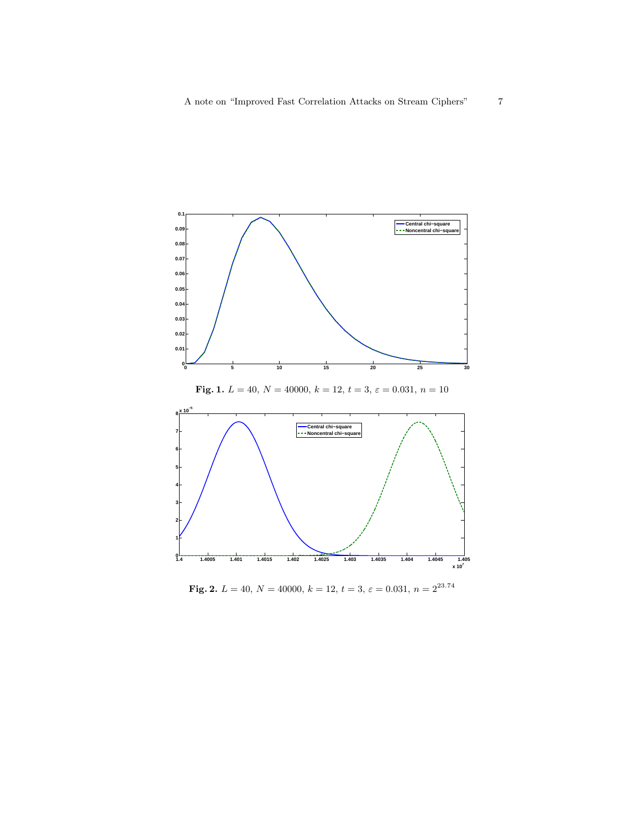



Fig. 1.  $L = 40, N = 40000, k = 12, t = 3, \varepsilon = 0.031, n = 10$ 

Fig. 2.  $L = 40, N = 40000, k = 12, t = 3, \varepsilon = 0.031, n = 2^{23.74}$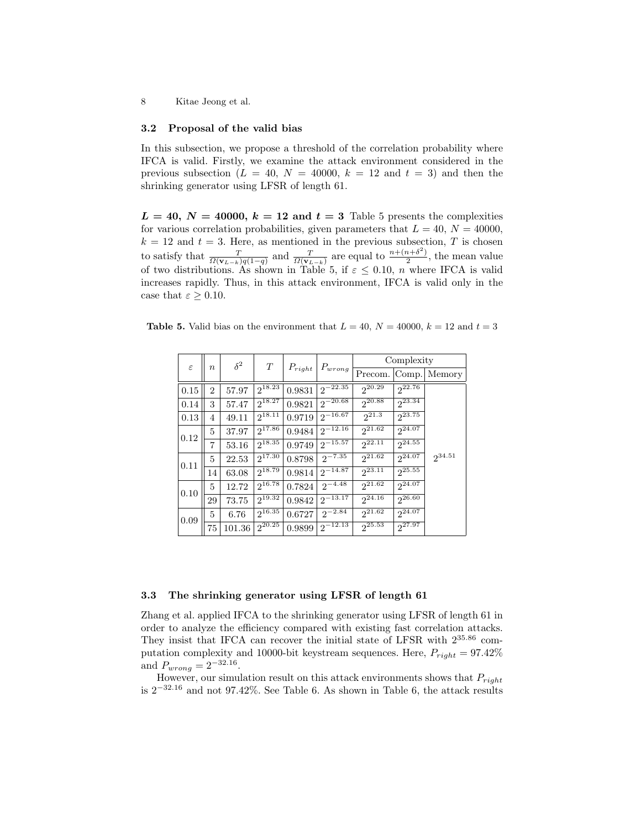8 Kitae Jeong et al.

#### 3.2 Proposal of the valid bias

In this subsection, we propose a threshold of the correlation probability where IFCA is valid. Firstly, we examine the attack environment considered in the previous subsection ( $L = 40$ ,  $N = 40000$ ,  $k = 12$  and  $t = 3$ ) and then the shrinking generator using LFSR of length 61.

 $L = 40, N = 40000, k = 12$  and  $t = 3$  Table 5 presents the complexities for various correlation probabilities, given parameters that  $L = 40, N = 40000$ ,  $k = 12$  and  $t = 3$ . Here, as mentioned in the previous subsection, T is chosen to satisfy that  $\frac{T}{\Omega(\mathbf{v}_{L-k})q(1-q)}$  and  $\frac{T}{\Omega(\mathbf{v}_{L-k})}$  are equal to  $\frac{n+(n+\delta^2)}{2}$  $\frac{n+o}{2}$ , the mean value of two distributions. As shown in Table 5, if  $\varepsilon \leq 0.10$ , n where IFCA is valid increases rapidly. Thus, in this attack environment, IFCA is valid only in the case that  $\varepsilon \geq 0.10$ .

|  |  |  |  |  | <b>Table 5.</b> Valid bias on the environment that $L = 40$ , $N = 40000$ , $k = 12$ and $t = 3$ |
|--|--|--|--|--|--------------------------------------------------------------------------------------------------|
|--|--|--|--|--|--------------------------------------------------------------------------------------------------|

| $\varepsilon$ | $\boldsymbol{n}$ | $\delta^2$ | T           | $P_{right}$ | $P_{wrong}$             | Complexity  |             |             |  |
|---------------|------------------|------------|-------------|-------------|-------------------------|-------------|-------------|-------------|--|
|               |                  |            |             |             |                         | Precom.     | Comp.       | Memory      |  |
| 0.15          | 2                | 57.97      | $2^{18.23}$ | 0.9831      | $2^{-22.35}$            | $2^{20.29}$ | $2^{22.76}$ |             |  |
| 0.14          | 3                | 57.47      | $2^{18.27}$ | 0.9821      | $2^{-20.68}$            | $2^{20.88}$ | $2^{23.34}$ |             |  |
| 0.13          | 4                | 49.11      | $2^{18.11}$ | 0.9719      | $2^{-\overline{16.67}}$ | $2^{21.3}$  | $2^{23.75}$ |             |  |
| 0.12          | 5                | 37.97      | $2^{17.86}$ | 0.9484      | $2^{-\overline{12.16}}$ | $2^{21.62}$ | $2^{24.07}$ |             |  |
|               | 7                | 53.16      | $2^{18.35}$ | 0.9749      | $2^{-15.57}$            | $2^{22.11}$ | $2^{24.55}$ |             |  |
| 0.11          | 5                | 22.53      | $2^{17.30}$ | 0.8798      | $2^{-7.35}$             | $2^{21.62}$ | $2^{24.07}$ | $2^{34.51}$ |  |
|               | 14               | 63.08      | $2^{18.79}$ | 0.9814      | $2^{-\overline{14.87}}$ | $2^{23.11}$ | $2^{25.55}$ |             |  |
| 0.10          | 5                | 12.72      | $2^{16.78}$ | 0.7824      | $2^{-4.48}$             | $2^{21.62}$ | $2^{24.07}$ |             |  |
|               | 29               | 73.75      | $2^{19.32}$ | 0.9842      | $2^{-\overline{13.17}}$ | $2^{24.16}$ | 26.60       |             |  |
| 0.09          | 5                | 6.76       | $2^{16.35}$ | 0.6727      | $2^{-2.84}$             | $2^{21.62}$ | $2^{24.07}$ |             |  |
|               | 75               | 101.36     | $2^{20.25}$ | 0.9899      | $2^{-12.13}$            | $2^{25.53}$ | $2^{27.97}$ |             |  |

#### 3.3 The shrinking generator using LFSR of length 61

Zhang et al. applied IFCA to the shrinking generator using LFSR of length 61 in order to analyze the efficiency compared with existing fast correlation attacks. They insist that IFCA can recover the initial state of LFSR with 2<sup>35</sup>.<sup>86</sup> computation complexity and 10000-bit keystream sequences. Here,  $P_{right} = 97.42\%$ and  $P_{wrong} = 2^{-32.16}$ .

However, our simulation result on this attack environments shows that  $P_{right}$ is 2<sup>−</sup>32.<sup>16</sup> and not 97.42%. See Table 6. As shown in Table 6, the attack results